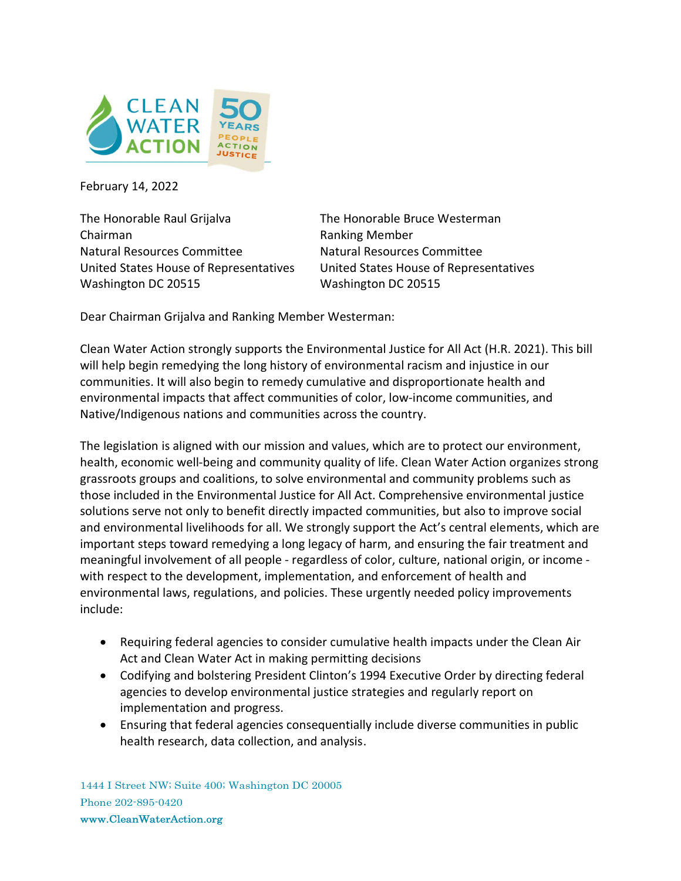

February 14, 2022

The Honorable Raul Grijalva The Honorable Bruce Westerman Chairman **Ranking Member** Natural Resources Committee Matural Resources Committee United States House of Representatives United States House of Representatives Washington DC 20515 Washington DC 20515

Dear Chairman Grijalva and Ranking Member Westerman:

Clean Water Action strongly supports the Environmental Justice for All Act (H.R. 2021). This bill will help begin remedying the long history of environmental racism and injustice in our communities. It will also begin to remedy cumulative and disproportionate health and environmental impacts that affect communities of color, low-income communities, and Native/Indigenous nations and communities across the country.

The legislation is aligned with our mission and values, which are to protect our environment, health, economic well-being and community quality of life. Clean Water Action organizes strong grassroots groups and coalitions, to solve environmental and community problems such as those included in the Environmental Justice for All Act. Comprehensive environmental justice solutions serve not only to benefit directly impacted communities, but also to improve social and environmental livelihoods for all. We strongly support the Act's central elements, which are important steps toward remedying a long legacy of harm, and ensuring the fair treatment and meaningful involvement of all people - regardless of color, culture, national origin, or income with respect to the development, implementation, and enforcement of health and environmental laws, regulations, and policies. These urgently needed policy improvements include:

- Requiring federal agencies to consider cumulative health impacts under the Clean Air Act and Clean Water Act in making permitting decisions
- Codifying and bolstering President Clinton's 1994 Executive Order by directing federal agencies to develop environmental justice strategies and regularly report on implementation and progress.
- Ensuring that federal agencies consequentially include diverse communities in public health research, data collection, and analysis.